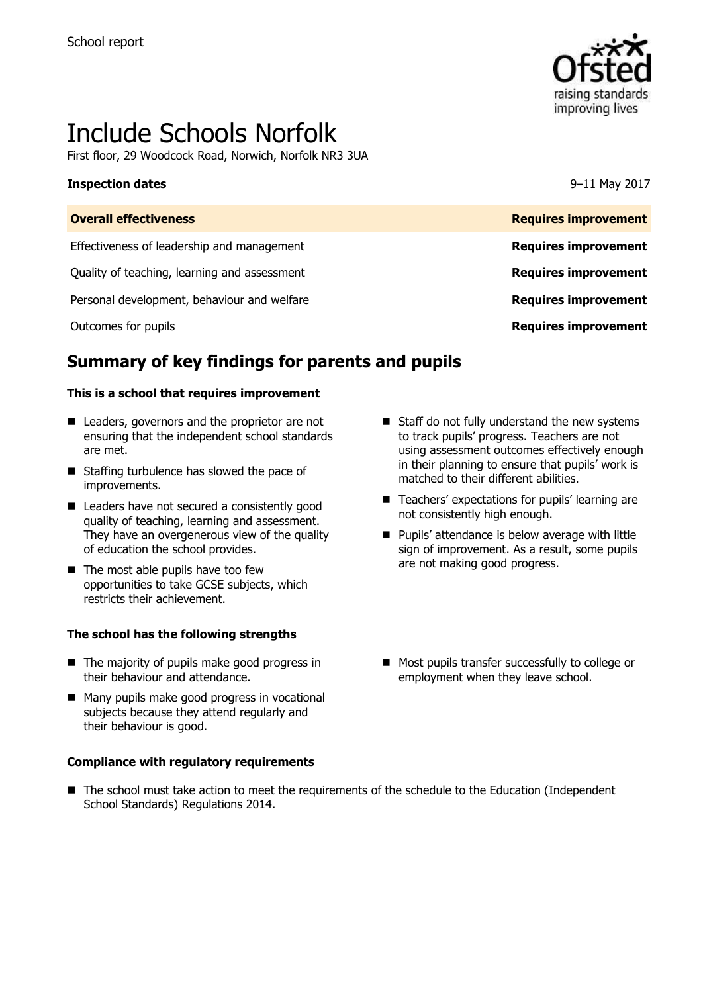

# Include Schools Norfolk

First floor, 29 Woodcock Road, Norwich, Norfolk NR3 3UA

#### **Inspection dates** 9–11 May 2017

| <b>Overall effectiveness</b>                 | <b>Requires improvement</b> |
|----------------------------------------------|-----------------------------|
| Effectiveness of leadership and management   | <b>Requires improvement</b> |
| Quality of teaching, learning and assessment | <b>Requires improvement</b> |
| Personal development, behaviour and welfare  | <b>Requires improvement</b> |
| Outcomes for pupils                          | <b>Requires improvement</b> |

# **Summary of key findings for parents and pupils**

#### **This is a school that requires improvement**

- Leaders, governors and the proprietor are not ensuring that the independent school standards are met.
- Staffing turbulence has slowed the pace of improvements.
- Leaders have not secured a consistently good quality of teaching, learning and assessment. They have an overgenerous view of the quality of education the school provides.
- $\blacksquare$  The most able pupils have too few opportunities to take GCSE subjects, which restricts their achievement.

#### **The school has the following strengths**

- The majority of pupils make good progress in their behaviour and attendance.
- Many pupils make good progress in vocational subjects because they attend regularly and their behaviour is good.

#### **Compliance with regulatory requirements**

- $\blacksquare$  Staff do not fully understand the new systems to track pupils' progress. Teachers are not using assessment outcomes effectively enough in their planning to ensure that pupils' work is matched to their different abilities.
- Teachers' expectations for pupils' learning are not consistently high enough.
- **Pupils' attendance is below average with little** sign of improvement. As a result, some pupils are not making good progress.
- **Most pupils transfer successfully to college or** employment when they leave school.
- The school must take action to meet the requirements of the schedule to the Education (Independent School Standards) Regulations 2014.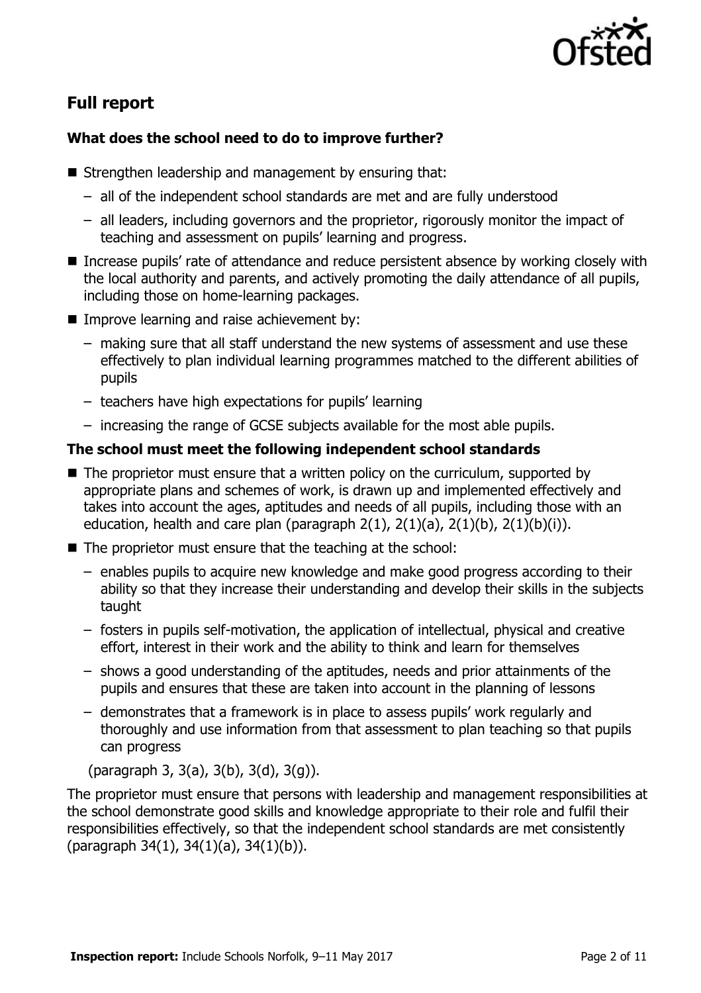

# **Full report**

### **What does the school need to do to improve further?**

- Strengthen leadership and management by ensuring that:
	- all of the independent school standards are met and are fully understood
	- all leaders, including governors and the proprietor, rigorously monitor the impact of teaching and assessment on pupils' learning and progress.
- Increase pupils' rate of attendance and reduce persistent absence by working closely with the local authority and parents, and actively promoting the daily attendance of all pupils, including those on home-learning packages.
- **IMPROPED 19 Improve learning and raise achievement by:** 
	- making sure that all staff understand the new systems of assessment and use these effectively to plan individual learning programmes matched to the different abilities of pupils
	- teachers have high expectations for pupils' learning
	- increasing the range of GCSE subjects available for the most able pupils.

### **The school must meet the following independent school standards**

- $\blacksquare$  The proprietor must ensure that a written policy on the curriculum, supported by appropriate plans and schemes of work, is drawn up and implemented effectively and takes into account the ages, aptitudes and needs of all pupils, including those with an education, health and care plan (paragraph  $2(1)$ ,  $2(1)(a)$ ,  $2(1)(b)$ ,  $2(1)(b)(i)$ ).
- The proprietor must ensure that the teaching at the school:
	- enables pupils to acquire new knowledge and make good progress according to their ability so that they increase their understanding and develop their skills in the subjects taught
	- fosters in pupils self-motivation, the application of intellectual, physical and creative effort, interest in their work and the ability to think and learn for themselves
	- shows a good understanding of the aptitudes, needs and prior attainments of the pupils and ensures that these are taken into account in the planning of lessons
	- demonstrates that a framework is in place to assess pupils' work regularly and thoroughly and use information from that assessment to plan teaching so that pupils can progress

(paragraph 3, 3(a), 3(b), 3(d), 3(g)).

The proprietor must ensure that persons with leadership and management responsibilities at the school demonstrate good skills and knowledge appropriate to their role and fulfil their responsibilities effectively, so that the independent school standards are met consistently (paragraph 34(1), 34(1)(a), 34(1)(b)).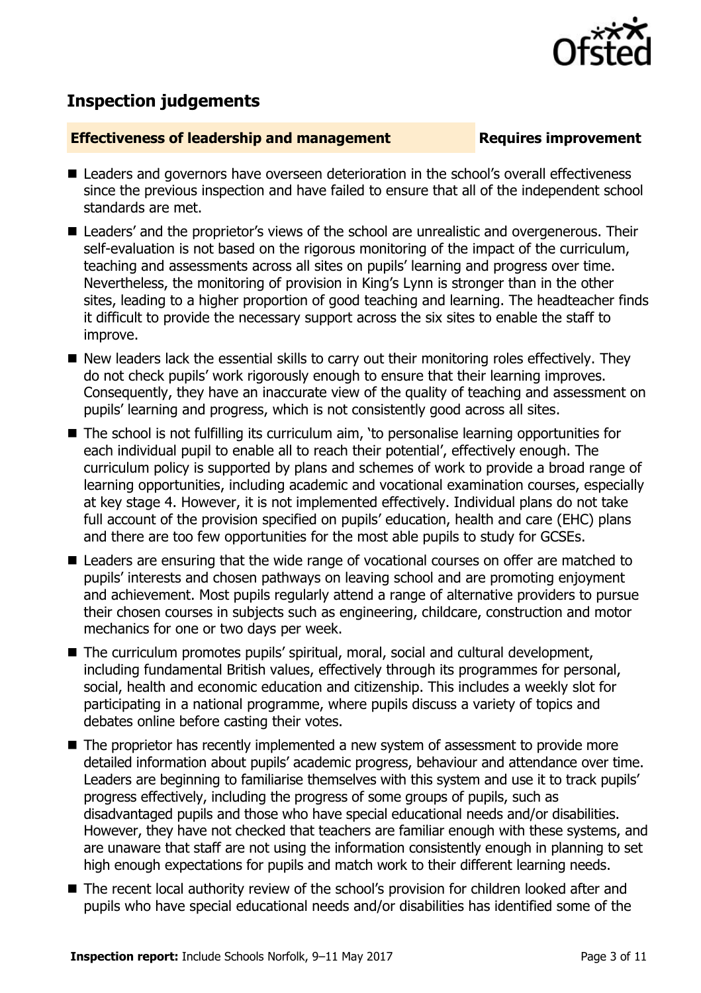

## **Inspection judgements**

#### **Effectiveness of leadership and management Requires improvement**

- Leaders and governors have overseen deterioration in the school's overall effectiveness since the previous inspection and have failed to ensure that all of the independent school standards are met.
- Leaders' and the proprietor's views of the school are unrealistic and overgenerous. Their self-evaluation is not based on the rigorous monitoring of the impact of the curriculum, teaching and assessments across all sites on pupils' learning and progress over time. Nevertheless, the monitoring of provision in King's Lynn is stronger than in the other sites, leading to a higher proportion of good teaching and learning. The headteacher finds it difficult to provide the necessary support across the six sites to enable the staff to improve.
- New leaders lack the essential skills to carry out their monitoring roles effectively. They do not check pupils' work rigorously enough to ensure that their learning improves. Consequently, they have an inaccurate view of the quality of teaching and assessment on pupils' learning and progress, which is not consistently good across all sites.
- The school is not fulfilling its curriculum aim, 'to personalise learning opportunities for each individual pupil to enable all to reach their potential', effectively enough. The curriculum policy is supported by plans and schemes of work to provide a broad range of learning opportunities, including academic and vocational examination courses, especially at key stage 4. However, it is not implemented effectively. Individual plans do not take full account of the provision specified on pupils' education, health and care (EHC) plans and there are too few opportunities for the most able pupils to study for GCSEs.
- Leaders are ensuring that the wide range of vocational courses on offer are matched to pupils' interests and chosen pathways on leaving school and are promoting enjoyment and achievement. Most pupils regularly attend a range of alternative providers to pursue their chosen courses in subjects such as engineering, childcare, construction and motor mechanics for one or two days per week.
- The curriculum promotes pupils' spiritual, moral, social and cultural development, including fundamental British values, effectively through its programmes for personal, social, health and economic education and citizenship. This includes a weekly slot for participating in a national programme, where pupils discuss a variety of topics and debates online before casting their votes.
- The proprietor has recently implemented a new system of assessment to provide more detailed information about pupils' academic progress, behaviour and attendance over time. Leaders are beginning to familiarise themselves with this system and use it to track pupils' progress effectively, including the progress of some groups of pupils, such as disadvantaged pupils and those who have special educational needs and/or disabilities. However, they have not checked that teachers are familiar enough with these systems, and are unaware that staff are not using the information consistently enough in planning to set high enough expectations for pupils and match work to their different learning needs.
- The recent local authority review of the school's provision for children looked after and pupils who have special educational needs and/or disabilities has identified some of the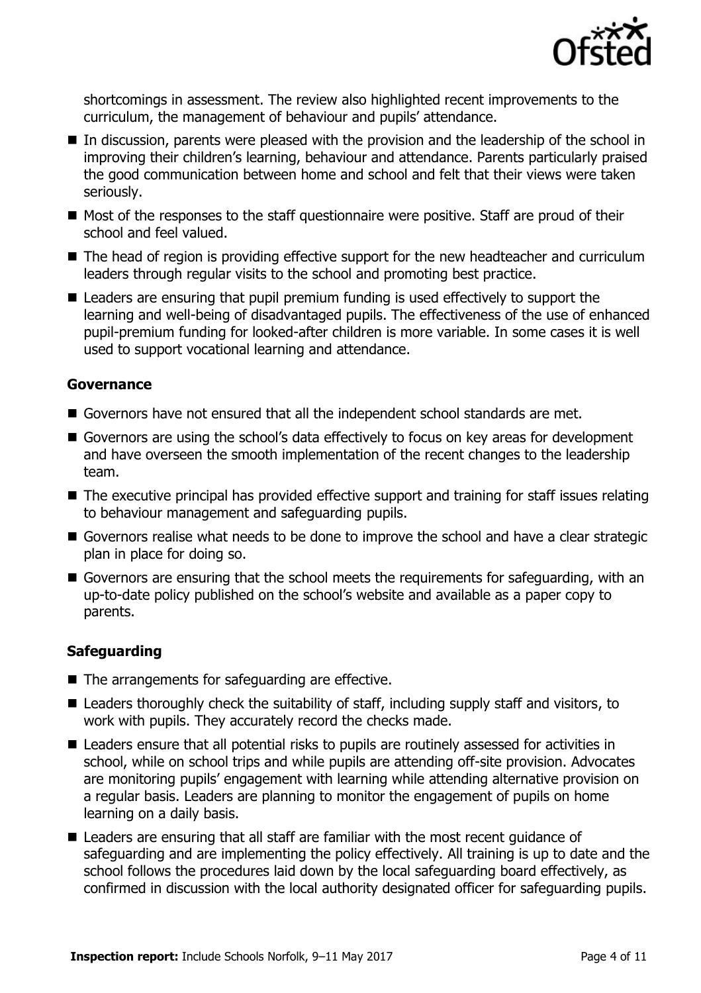

shortcomings in assessment. The review also highlighted recent improvements to the curriculum, the management of behaviour and pupils' attendance.

- In discussion, parents were pleased with the provision and the leadership of the school in improving their children's learning, behaviour and attendance. Parents particularly praised the good communication between home and school and felt that their views were taken seriously.
- Most of the responses to the staff questionnaire were positive. Staff are proud of their school and feel valued.
- The head of region is providing effective support for the new headteacher and curriculum leaders through regular visits to the school and promoting best practice.
- Leaders are ensuring that pupil premium funding is used effectively to support the learning and well-being of disadvantaged pupils. The effectiveness of the use of enhanced pupil-premium funding for looked-after children is more variable. In some cases it is well used to support vocational learning and attendance.

#### **Governance**

- Governors have not ensured that all the independent school standards are met.
- Governors are using the school's data effectively to focus on key areas for development and have overseen the smooth implementation of the recent changes to the leadership team.
- The executive principal has provided effective support and training for staff issues relating to behaviour management and safeguarding pupils.
- Governors realise what needs to be done to improve the school and have a clear strategic plan in place for doing so.
- Governors are ensuring that the school meets the requirements for safeguarding, with an up-to-date policy published on the school's website and available as a paper copy to parents.

### **Safeguarding**

- The arrangements for safeguarding are effective.
- Leaders thoroughly check the suitability of staff, including supply staff and visitors, to work with pupils. They accurately record the checks made.
- Leaders ensure that all potential risks to pupils are routinely assessed for activities in school, while on school trips and while pupils are attending off-site provision. Advocates are monitoring pupils' engagement with learning while attending alternative provision on a regular basis. Leaders are planning to monitor the engagement of pupils on home learning on a daily basis.
- Leaders are ensuring that all staff are familiar with the most recent guidance of safeguarding and are implementing the policy effectively. All training is up to date and the school follows the procedures laid down by the local safeguarding board effectively, as confirmed in discussion with the local authority designated officer for safeguarding pupils.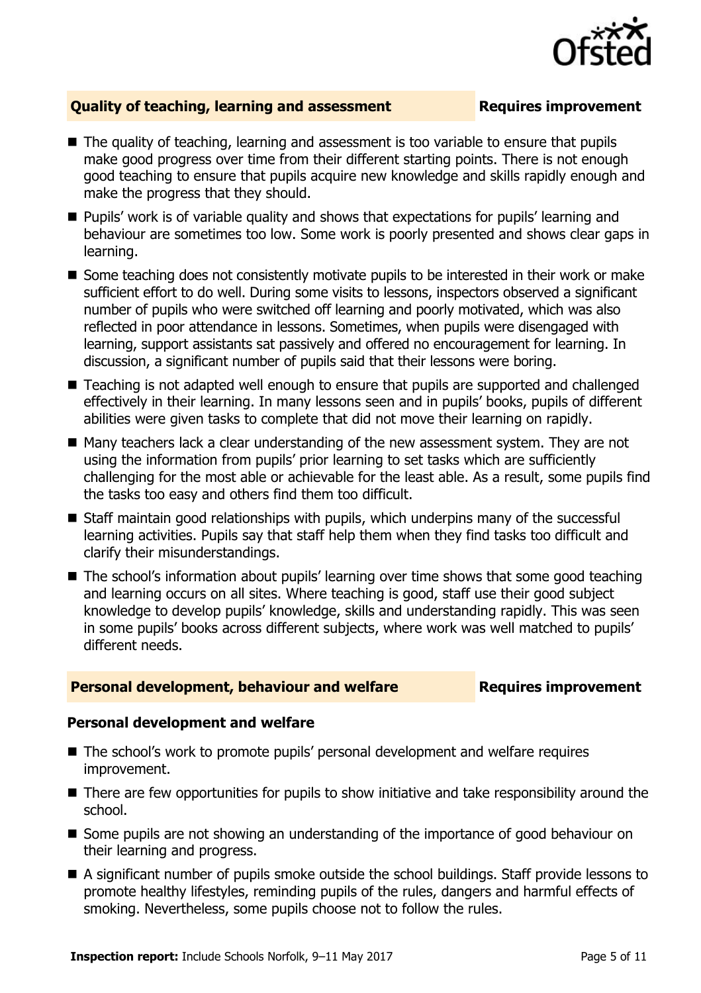

### **Quality of teaching, learning and assessment <b>Requires improvement**

- The quality of teaching, learning and assessment is too variable to ensure that pupils make good progress over time from their different starting points. There is not enough good teaching to ensure that pupils acquire new knowledge and skills rapidly enough and make the progress that they should.
- **Pupils' work is of variable quality and shows that expectations for pupils' learning and** behaviour are sometimes too low. Some work is poorly presented and shows clear gaps in learning.
- Some teaching does not consistently motivate pupils to be interested in their work or make sufficient effort to do well. During some visits to lessons, inspectors observed a significant number of pupils who were switched off learning and poorly motivated, which was also reflected in poor attendance in lessons. Sometimes, when pupils were disengaged with learning, support assistants sat passively and offered no encouragement for learning. In discussion, a significant number of pupils said that their lessons were boring.
- Teaching is not adapted well enough to ensure that pupils are supported and challenged effectively in their learning. In many lessons seen and in pupils' books, pupils of different abilities were given tasks to complete that did not move their learning on rapidly.
- Many teachers lack a clear understanding of the new assessment system. They are not using the information from pupils' prior learning to set tasks which are sufficiently challenging for the most able or achievable for the least able. As a result, some pupils find the tasks too easy and others find them too difficult.
- Staff maintain good relationships with pupils, which underpins many of the successful learning activities. Pupils say that staff help them when they find tasks too difficult and clarify their misunderstandings.
- The school's information about pupils' learning over time shows that some good teaching and learning occurs on all sites. Where teaching is good, staff use their good subject knowledge to develop pupils' knowledge, skills and understanding rapidly. This was seen in some pupils' books across different subjects, where work was well matched to pupils' different needs.

#### **Personal development, behaviour and welfare <b>Requires improvement**

#### **Personal development and welfare**

- The school's work to promote pupils' personal development and welfare requires improvement.
- There are few opportunities for pupils to show initiative and take responsibility around the school.
- Some pupils are not showing an understanding of the importance of good behaviour on their learning and progress.
- A significant number of pupils smoke outside the school buildings. Staff provide lessons to promote healthy lifestyles, reminding pupils of the rules, dangers and harmful effects of smoking. Nevertheless, some pupils choose not to follow the rules.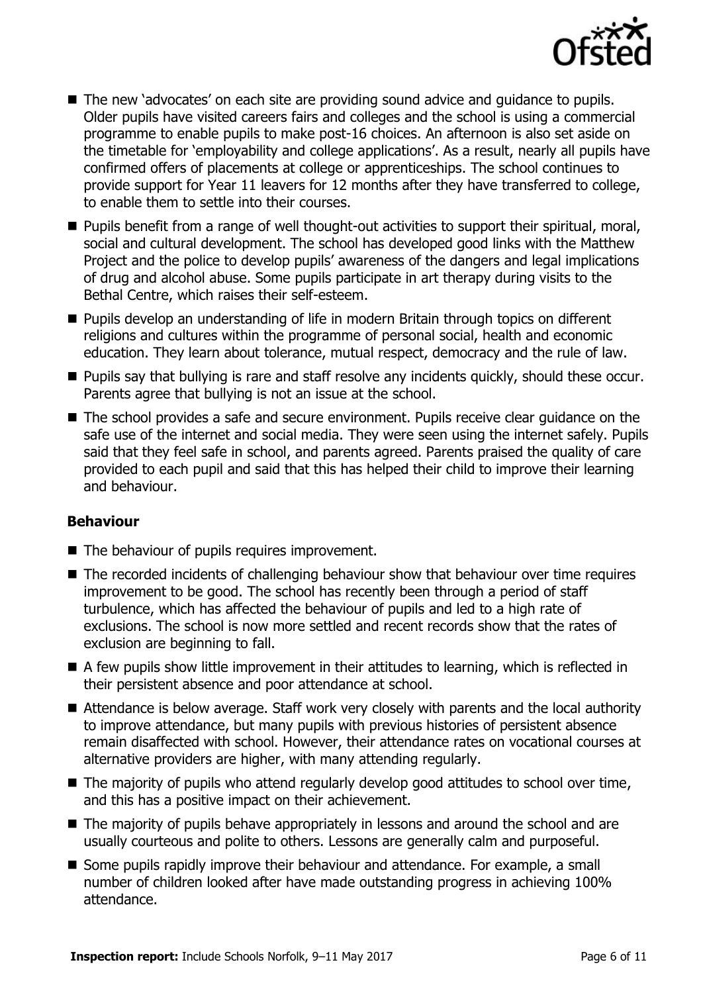

- The new 'advocates' on each site are providing sound advice and quidance to pupils. Older pupils have visited careers fairs and colleges and the school is using a commercial programme to enable pupils to make post-16 choices. An afternoon is also set aside on the timetable for 'employability and college applications'. As a result, nearly all pupils have confirmed offers of placements at college or apprenticeships. The school continues to provide support for Year 11 leavers for 12 months after they have transferred to college, to enable them to settle into their courses.
- **Pupils benefit from a range of well thought-out activities to support their spiritual, moral,** social and cultural development. The school has developed good links with the Matthew Project and the police to develop pupils' awareness of the dangers and legal implications of drug and alcohol abuse. Some pupils participate in art therapy during visits to the Bethal Centre, which raises their self-esteem.
- **Pupils develop an understanding of life in modern Britain through topics on different** religions and cultures within the programme of personal social, health and economic education. They learn about tolerance, mutual respect, democracy and the rule of law.
- **Pupils say that bullying is rare and staff resolve any incidents quickly, should these occur.** Parents agree that bullying is not an issue at the school.
- The school provides a safe and secure environment. Pupils receive clear guidance on the safe use of the internet and social media. They were seen using the internet safely. Pupils said that they feel safe in school, and parents agreed. Parents praised the quality of care provided to each pupil and said that this has helped their child to improve their learning and behaviour.

### **Behaviour**

- The behaviour of pupils requires improvement.
- The recorded incidents of challenging behaviour show that behaviour over time requires improvement to be good. The school has recently been through a period of staff turbulence, which has affected the behaviour of pupils and led to a high rate of exclusions. The school is now more settled and recent records show that the rates of exclusion are beginning to fall.
- A few pupils show little improvement in their attitudes to learning, which is reflected in their persistent absence and poor attendance at school.
- Attendance is below average. Staff work very closely with parents and the local authority to improve attendance, but many pupils with previous histories of persistent absence remain disaffected with school. However, their attendance rates on vocational courses at alternative providers are higher, with many attending regularly.
- $\blacksquare$  The majority of pupils who attend regularly develop good attitudes to school over time, and this has a positive impact on their achievement.
- The majority of pupils behave appropriately in lessons and around the school and are usually courteous and polite to others. Lessons are generally calm and purposeful.
- Some pupils rapidly improve their behaviour and attendance. For example, a small number of children looked after have made outstanding progress in achieving 100% attendance.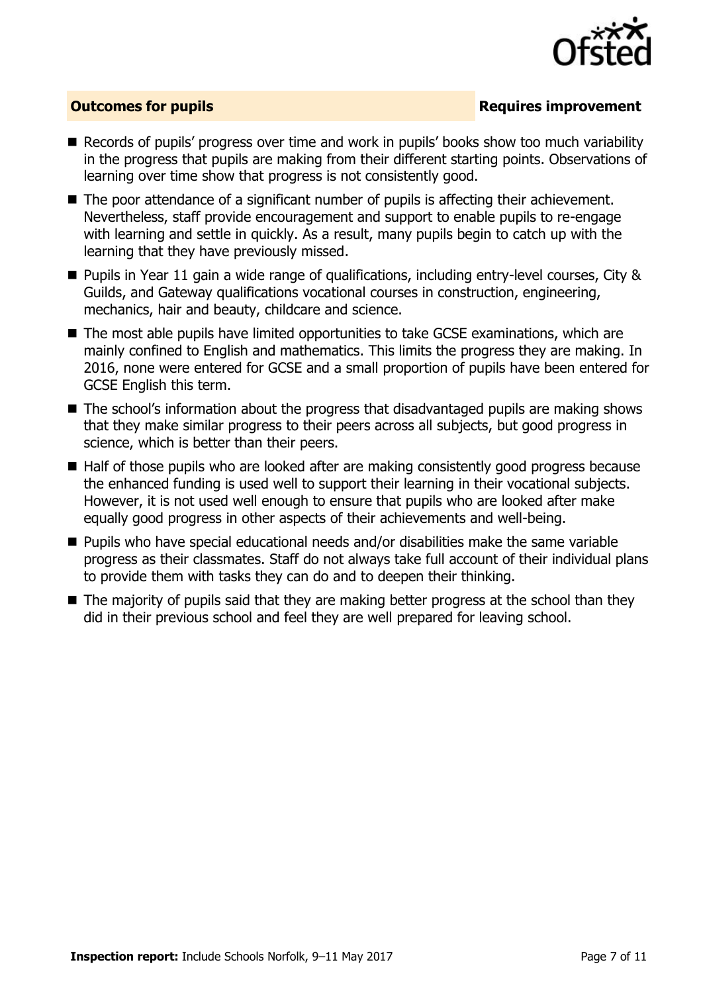

### **Outcomes for pupils Requires improvement**

- Records of pupils' progress over time and work in pupils' books show too much variability in the progress that pupils are making from their different starting points. Observations of learning over time show that progress is not consistently good.
- The poor attendance of a significant number of pupils is affecting their achievement. Nevertheless, staff provide encouragement and support to enable pupils to re-engage with learning and settle in quickly. As a result, many pupils begin to catch up with the learning that they have previously missed.
- Pupils in Year 11 gain a wide range of qualifications, including entry-level courses, City & Guilds, and Gateway qualifications vocational courses in construction, engineering, mechanics, hair and beauty, childcare and science.
- The most able pupils have limited opportunities to take GCSE examinations, which are mainly confined to English and mathematics. This limits the progress they are making. In 2016, none were entered for GCSE and a small proportion of pupils have been entered for GCSE English this term.
- The school's information about the progress that disadvantaged pupils are making shows that they make similar progress to their peers across all subjects, but good progress in science, which is better than their peers.
- Half of those pupils who are looked after are making consistently good progress because the enhanced funding is used well to support their learning in their vocational subjects. However, it is not used well enough to ensure that pupils who are looked after make equally good progress in other aspects of their achievements and well-being.
- Pupils who have special educational needs and/or disabilities make the same variable progress as their classmates. Staff do not always take full account of their individual plans to provide them with tasks they can do and to deepen their thinking.
- The majority of pupils said that they are making better progress at the school than they did in their previous school and feel they are well prepared for leaving school.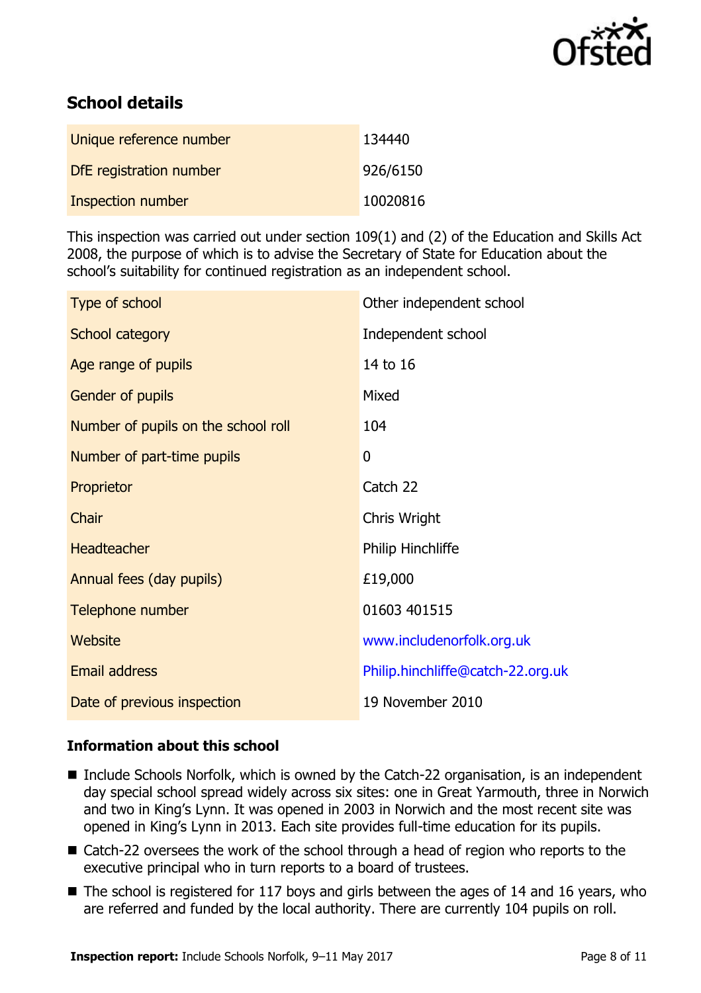

# **School details**

| Unique reference number  | 134440   |
|--------------------------|----------|
| DfE registration number  | 926/6150 |
| <b>Inspection number</b> | 10020816 |

This inspection was carried out under section 109(1) and (2) of the Education and Skills Act 2008, the purpose of which is to advise the Secretary of State for Education about the school's suitability for continued registration as an independent school.

| Type of school                      | Other independent school          |
|-------------------------------------|-----------------------------------|
| School category                     | Independent school                |
| Age range of pupils                 | 14 to 16                          |
| Gender of pupils                    | Mixed                             |
| Number of pupils on the school roll | 104                               |
| Number of part-time pupils          | 0                                 |
| Proprietor                          | Catch 22                          |
| Chair                               | Chris Wright                      |
| <b>Headteacher</b>                  | Philip Hinchliffe                 |
| Annual fees (day pupils)            | £19,000                           |
| Telephone number                    | 01603 401515                      |
| Website                             | www.includenorfolk.org.uk         |
| <b>Email address</b>                | Philip.hinchliffe@catch-22.org.uk |
| Date of previous inspection         | 19 November 2010                  |

### **Information about this school**

- Include Schools Norfolk, which is owned by the Catch-22 organisation, is an independent day special school spread widely across six sites: one in Great Yarmouth, three in Norwich and two in King's Lynn. It was opened in 2003 in Norwich and the most recent site was opened in King's Lynn in 2013. Each site provides full-time education for its pupils.
- Catch-22 oversees the work of the school through a head of region who reports to the executive principal who in turn reports to a board of trustees.
- The school is registered for 117 boys and girls between the ages of 14 and 16 years, who are referred and funded by the local authority. There are currently 104 pupils on roll.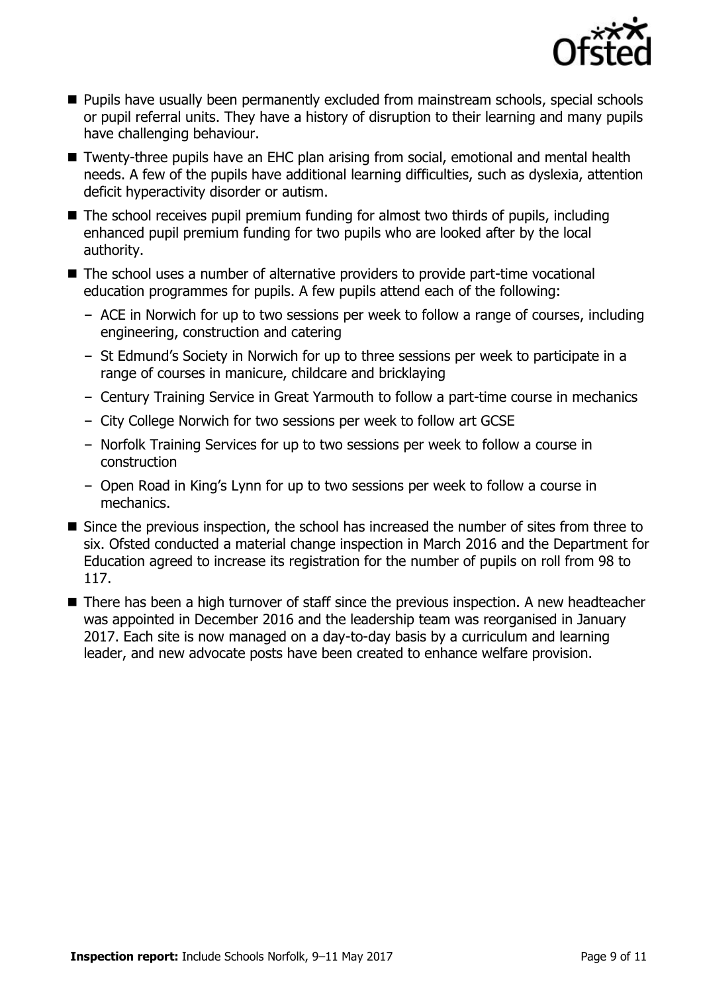

- **Pupils have usually been permanently excluded from mainstream schools, special schools** or pupil referral units. They have a history of disruption to their learning and many pupils have challenging behaviour.
- Twenty-three pupils have an EHC plan arising from social, emotional and mental health needs. A few of the pupils have additional learning difficulties, such as dyslexia, attention deficit hyperactivity disorder or autism.
- The school receives pupil premium funding for almost two thirds of pupils, including enhanced pupil premium funding for two pupils who are looked after by the local authority.
- The school uses a number of alternative providers to provide part-time vocational education programmes for pupils. A few pupils attend each of the following:
	- ACE in Norwich for up to two sessions per week to follow a range of courses, including engineering, construction and catering
	- St Edmund's Society in Norwich for up to three sessions per week to participate in a range of courses in manicure, childcare and bricklaying
	- Century Training Service in Great Yarmouth to follow a part-time course in mechanics
	- City College Norwich for two sessions per week to follow art GCSE
	- Norfolk Training Services for up to two sessions per week to follow a course in construction
	- Open Road in King's Lynn for up to two sessions per week to follow a course in mechanics.
- Since the previous inspection, the school has increased the number of sites from three to six. Ofsted conducted a material change inspection in March 2016 and the Department for Education agreed to increase its registration for the number of pupils on roll from 98 to 117.
- There has been a high turnover of staff since the previous inspection. A new headteacher was appointed in December 2016 and the leadership team was reorganised in January 2017. Each site is now managed on a day-to-day basis by a curriculum and learning leader, and new advocate posts have been created to enhance welfare provision.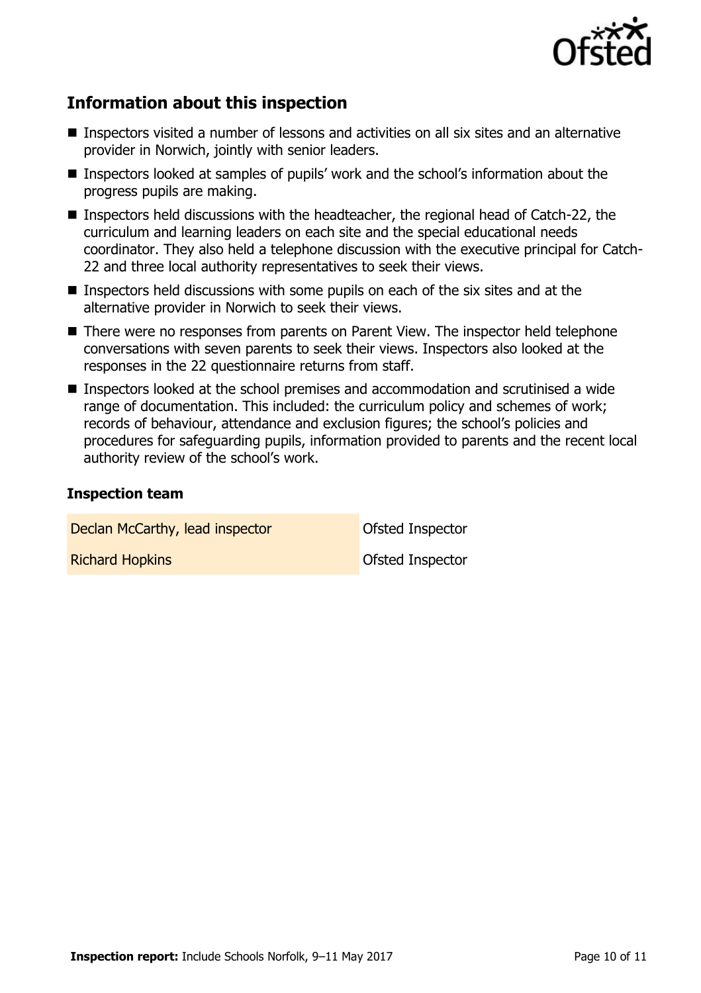

# **Information about this inspection**

- Inspectors visited a number of lessons and activities on all six sites and an alternative provider in Norwich, jointly with senior leaders.
- Inspectors looked at samples of pupils' work and the school's information about the progress pupils are making.
- Inspectors held discussions with the headteacher, the regional head of Catch-22, the curriculum and learning leaders on each site and the special educational needs coordinator. They also held a telephone discussion with the executive principal for Catch-22 and three local authority representatives to seek their views.
- Inspectors held discussions with some pupils on each of the six sites and at the alternative provider in Norwich to seek their views.
- There were no responses from parents on Parent View. The inspector held telephone conversations with seven parents to seek their views. Inspectors also looked at the responses in the 22 questionnaire returns from staff.
- Inspectors looked at the school premises and accommodation and scrutinised a wide range of documentation. This included: the curriculum policy and schemes of work; records of behaviour, attendance and exclusion figures; the school's policies and procedures for safeguarding pupils, information provided to parents and the recent local authority review of the school's work.

#### **Inspection team**

Declan McCarthy, lead inspector **Declan McCarthy**, lead inspector **Richard Hopkins Contract Inspector** Contract Contract Ofsted Inspector